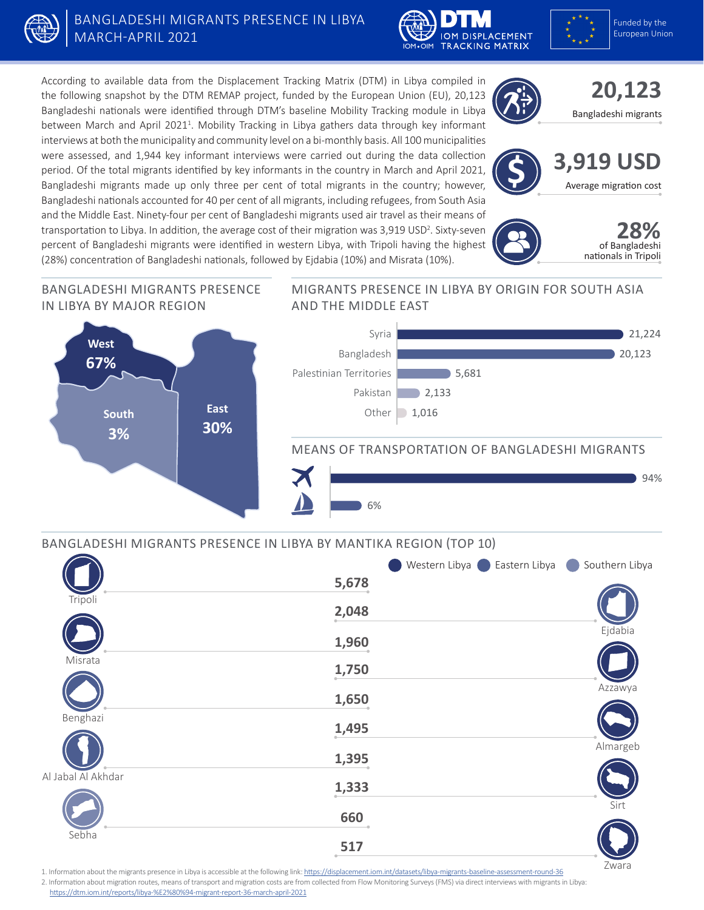

# BANGLADESHI MIGRANTS PRESENCE IN LIBYA MARCH-APRIL 2021





According to available data from the Displacement Tracking Matrix (DTM) in Libya compiled in the following snapshot by the DTM REMAP project, funded by the European Union (EU), 20,123 Bangladeshi nationals were identified through DTM's baseline Mobility Tracking module in Libya between March and April 2021<sup>1</sup>. Mobility Tracking in Libya gathers data through key informant interviews at both the municipality and community level on a bi-monthly basis. All 100 municipalities were assessed, and 1,944 key informant interviews were carried out during the data collection period. Of the total migrants identified by key informants in the country in March and April 2021, Bangladeshi migrants made up only three per cent of total migrants in the country; however, Bangladeshi nationals accounted for 40 per cent of all migrants, including refugees, from South Asia and the Middle East. Ninety-four per cent of Bangladeshi migrants used air travel as their means of transportation to Libya. In addition, the average cost of their migration was 3,919 USD<sup>2</sup>. Sixty-seven percent of Bangladeshi migrants were identified in western Libya, with Tripoli having the highest (28%) concentration of Bangladeshi nationals, followed by Ejdabia (10%) and Misrata (10%).

# **20,123**  Bangladeshi migrants







Zwara

#### BANGLADESHI MIGRANTS PRESENCE IN LIBYA BY MAJOR REGION



#### MIGRANTS PRESENCE IN LIBYA BY ORIGIN FOR SOUTH ASIA AND THE MIDDLE EAST



### MEANS OF TRANSPORTATION OF BANGLADESHI MIGRANTS



# BANGLADESHI MIGRANTS PRESENCE IN LIBYA BY MANTIKA REGION (TOP 10)

|                    |                | Western Libya <b>C</b> Eastern Libya | Southern Libya |
|--------------------|----------------|--------------------------------------|----------------|
|                    | 5,678          |                                      |                |
| Tripoli            | 2,048          |                                      |                |
|                    | 1,960          |                                      | Ejdabia        |
| Misrata            | 1,750          |                                      |                |
|                    | 1,650          |                                      | Azzawya        |
| Benghazi           | 1,495          |                                      |                |
|                    | 1,395          |                                      | Almargeb       |
| Al Jabal Al Akhdar | 1,333          |                                      |                |
|                    | 660            |                                      | Sirt           |
| Sebha              | 517<br>$\circ$ |                                      |                |
|                    |                |                                      |                |

1. Information about the migrants presence in Libya is accessible at the following link: <https://displacement.iom.int/datasets/libya-migrants-baseline-assessment-round-36>

2. Information about migration routes, means of transport and migration costs are from collected from Flow Monitoring Surveys (FMS) via direct interviews with migrants in Libya: <https://dtm.iom.int/reports/libya-%E2%80%94-migrant-report-36-march-april-2021>